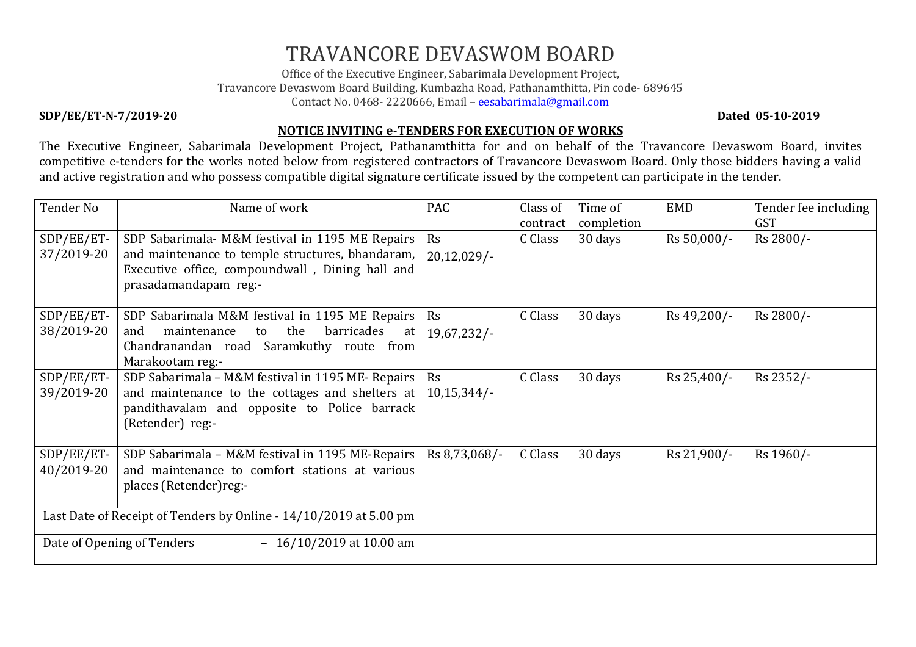## TRAVANCORE DEVASWOM BOARD

Office of the Executive Engineer, Sabarimala Development Project, Travancore Devaswom Board Building, Kumbazha Road, Pathanamthitta, Pin code- 689645 Contact No. 0468-2220666, Email - eesabarimala@gmail.com

## SDP/EE/ET-N-7/2019-20 Dated 05-10-2019

## NOTICE INVITING e-TENDERS FOR EXECUTION OF WORKS

 The Executive Engineer, Sabarimala Development Project, Pathanamthitta for and on behalf of the Travancore Devaswom Board, invites competitive e-tenders for the works noted below from registered contractors of Travancore Devaswom Board. Only those bidders having a valid and active registration and who possess compatible digital signature certificate issued by the competent can participate in the tender.

| Tender No                                                         | Name of work                                        | <b>PAC</b>     | Class of | Time of    | <b>EMD</b>  | Tender fee including |
|-------------------------------------------------------------------|-----------------------------------------------------|----------------|----------|------------|-------------|----------------------|
|                                                                   |                                                     |                | contract | completion |             | <b>GST</b>           |
| SDP/EE/ET-                                                        | SDP Sabarimala- M&M festival in 1195 ME Repairs     | Rs             | C Class  | 30 days    | Rs 50,000/- | Rs 2800/-            |
| 37/2019-20                                                        | and maintenance to temple structures, bhandaram,    | $20,12,029/$ - |          |            |             |                      |
|                                                                   | Executive office, compoundwall, Dining hall and     |                |          |            |             |                      |
|                                                                   | prasadamandapam reg:-                               |                |          |            |             |                      |
|                                                                   |                                                     |                |          |            |             |                      |
| SDP/EE/ET-                                                        | SDP Sabarimala M&M festival in 1195 ME Repairs      | Rs             | C Class  | 30 days    | Rs 49,200/- | Rs 2800/-            |
| 38/2019-20                                                        | the<br>barricades<br>and<br>maintenance<br>to<br>at | 19,67,232/     |          |            |             |                      |
|                                                                   | Chandranandan road Saramkuthy route from            |                |          |            |             |                      |
|                                                                   | Marakootam reg:-                                    |                |          |            |             |                      |
| SDP/EE/ET-                                                        | SDP Sabarimala - M&M festival in 1195 ME- Repairs   | Rs             | C Class  | 30 days    | Rs 25,400/- | Rs 2352/-            |
| 39/2019-20                                                        | and maintenance to the cottages and shelters at     | 10,15,344/     |          |            |             |                      |
|                                                                   | pandithavalam and opposite to Police barrack        |                |          |            |             |                      |
|                                                                   | (Retender) reg:-                                    |                |          |            |             |                      |
|                                                                   |                                                     |                |          |            |             |                      |
| SDP/EE/ET-                                                        | SDP Sabarimala – M&M festival in 1195 ME-Repairs    | Rs 8,73,068/-  | C Class  | 30 days    | Rs 21,900/- | Rs 1960/-            |
| 40/2019-20                                                        | and maintenance to comfort stations at various      |                |          |            |             |                      |
|                                                                   | places (Retender) reg:-                             |                |          |            |             |                      |
|                                                                   |                                                     |                |          |            |             |                      |
| Last Date of Receipt of Tenders by Online - 14/10/2019 at 5.00 pm |                                                     |                |          |            |             |                      |
| Date of Opening of Tenders<br>$-16/10/2019$ at 10.00 am           |                                                     |                |          |            |             |                      |
|                                                                   |                                                     |                |          |            |             |                      |